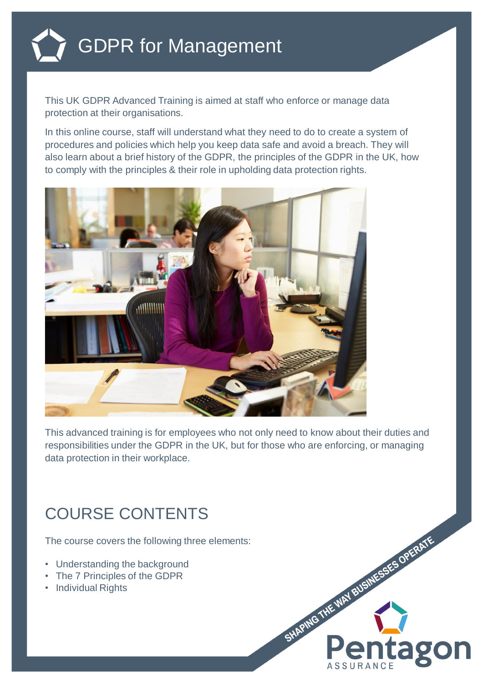

This UK GDPR Advanced Training is aimed at staff who enforce or manage data protection at their organisations.

In this online course, staff will understand what they need to do to create a system of procedures and policies which help you keep data safe and avoid a breach. They will also learn about a brief history of the GDPR, the principles of the GDPR in the UK, how to comply with the principles & their role in upholding data protection rights.



This advanced training is for employees who not only need to know about their duties and responsibilities under the GDPR in the UK, but for those who are enforcing, or managing data protection in their workplace.

## COURSE CONTENTS

The course covers the following three elements:

- Understanding the background
- The 7 Principles of the GDPR
- Individual Rights